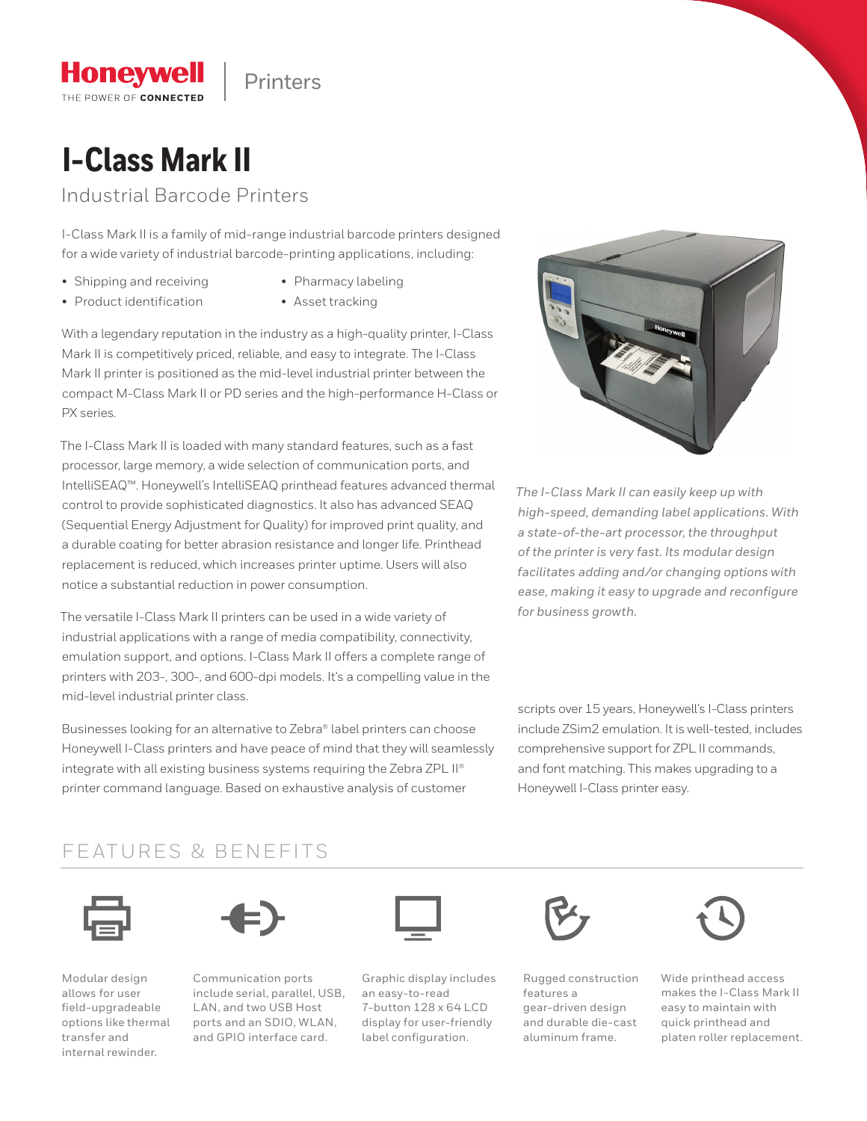Printers

# **I-Class Mark II**

**Honeywell** THE POWER OF CONNECTED

Industrial Barcode Printers

I-Class Mark II is a family of mid-range industrial barcode printers designed for a wide variety of industrial barcode-printing applications, including:

- Shipping and receiving
- Pharmacy labeling
- Product identification
- 
- Asset tracking

With a legendary reputation in the industry as a high-quality printer, I-Class Mark II is competitively priced, reliable, and easy to integrate. The I-Class Mark II printer is positioned as the mid-level industrial printer between the compact M-Class Mark II or PD series and the high-performance H-Class or PX series.

The I-Class Mark II is loaded with many standard features, such as a fast processor, large memory, a wide selection of communication ports, and IntelliSEAQ™. Honeywell's IntelliSEAQ printhead features advanced thermal control to provide sophisticated diagnostics. It also has advanced SEAQ (Sequential Energy Adjustment for Quality) for improved print quality, and a durable coating for better abrasion resistance and longer life. Printhead replacement is reduced, which increases printer uptime. Users will also notice a substantial reduction in power consumption.

The versatile I-Class Mark II printers can be used in a wide variety of industrial applications with a range of media compatibility, connectivity, emulation support, and options. I-Class Mark II offers a complete range of printers with 203-, 300-, and 600-dpi models. It's a compelling value in the mid-level industrial printer class.

Businesses looking for an alternative to Zebra® label printers can choose Honeywell I-Class printers and have peace of mind that they will seamlessly integrate with all existing business systems requiring the Zebra ZPL II® printer command language. Based on exhaustive analysis of customer



*The I-Class Mark II can easily keep up with high-speed, demanding label applications. With a state-of-the-art processor, the throughput of the printer is very fast. Its modular design facilitates adding and/or changing options with ease, making it easy to upgrade and reconfigure for business growth.*

scripts over 15 years, Honeywell's I-Class printers include ZSim2 emulation. It is well-tested, includes comprehensive support for ZPL II commands, and font matching. This makes upgrading to a Honeywell I-Class printer easy.

### FEATURES & BENEFITS





Modular design allows for user field-upgradeable options like thermal transfer and internal rewinder.

Communication ports include serial, parallel, USB, LAN, and two USB Host ports and an SDIO, WLAN, and GPIO interface card.



Graphic display includes an easy-to-read 7-button 128 x 64 LCD display for user-friendly label configuration.



Rugged construction features a gear-driven design and durable die-cast aluminum frame.



Wide printhead access makes the I-Class Mark II easy to maintain with quick printhead and platen roller replacement.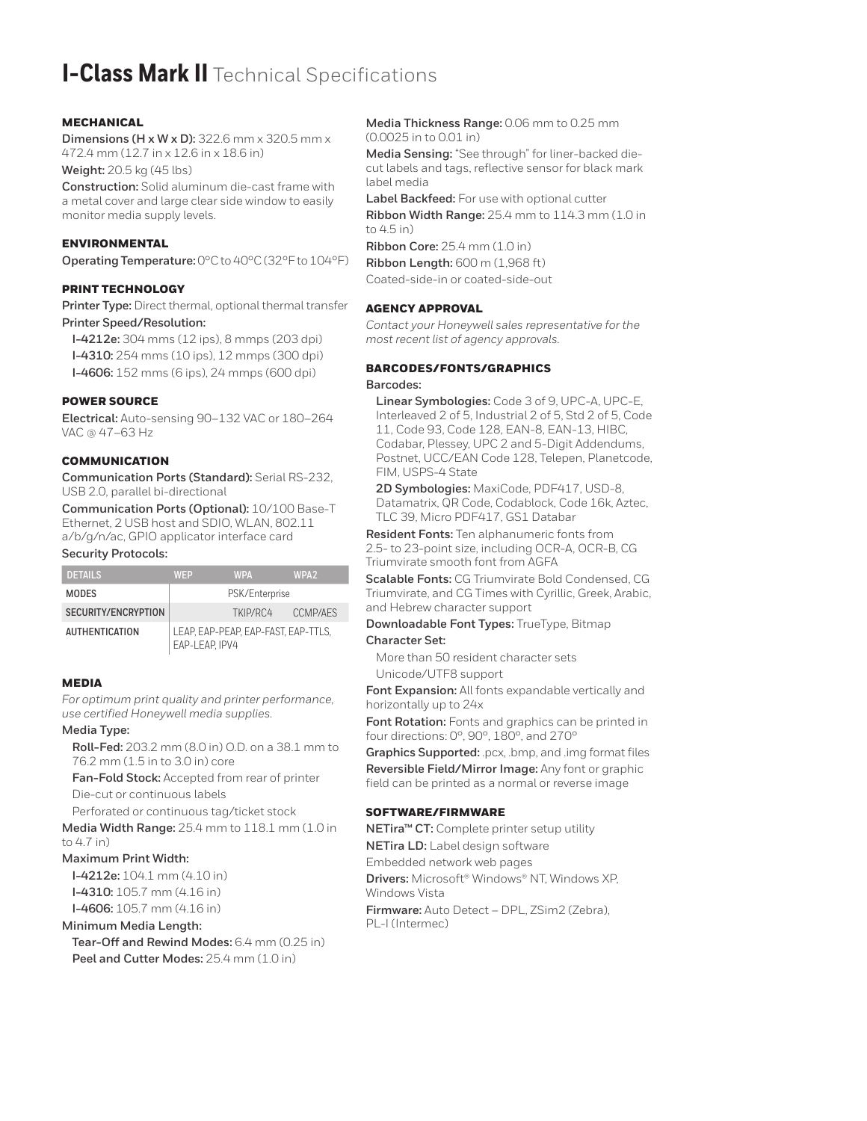## **I-Class Mark II** Technical Specifications

#### MECHANICAL

**Dimensions (H x W x D):** 322.6 mm x 320.5 mm x 472.4 mm (12.7 in x 12.6 in x 18.6 in)

**Weight:** 20.5 kg (45 lbs)

**Construction:** Solid aluminum die-cast frame with a metal cover and large clear side window to easily monitor media supply levels.

#### ENVIRONMENTAL

**Operating Temperature:** 0°C to 40°C (32°F to 104°F)

#### PRINT TECHNOLOGY

**Printer Type:** Direct thermal, optional thermal transfer **Printer Speed/Resolution:**

**I-4212e:** 304 mms (12 ips), 8 mmps (203 dpi) **I-4310:** 254 mms (10 ips), 12 mmps (300 dpi) **I-4606:** 152 mms (6 ips), 24 mmps (600 dpi)

#### POWER SOURCE

**Electrical:** Auto-sensing 90–132 VAC or 180–264 VAC @ 47–63 Hz

#### **COMMUNICATION**

**Communication Ports (Standard):** Serial RS-232, USB 2.0, parallel bi-directional

**Communication Ports (Optional):** 10/100 Base-T Ethernet, 2 USB host and SDIO, WLAN, 802.11 a/b/g/n/ac, GPIO applicator interface card

#### **Security Protocols:**

| <b>DETAILS</b>        | <b>WFP</b>                                            | <b>WPA</b> | WPA <sub>2</sub> |
|-----------------------|-------------------------------------------------------|------------|------------------|
| <b>MODES</b>          | PSK/Enterprise                                        |            |                  |
| SECURITY/ENCRYPTION   |                                                       | TKIP/RC4   | CCMP/AFS         |
| <b>AUTHENTICATION</b> | LEAP. EAP-PEAP. EAP-FAST. EAP-TTLS.<br>EAP-LEAP. IPV4 |            |                  |

#### MEDIA

*For optimum print quality and printer performance, use certified Honeywell media supplies.*

#### **Media Type:**

**Roll-Fed:** 203.2 mm (8.0 in) O.D. on a 38.1 mm to 76.2 mm (1.5 in to 3.0 in) core

**Fan-Fold Stock:** Accepted from rear of printer Die-cut or continuous labels

Perforated or continuous tag/ticket stock

**Media Width Range:** 25.4 mm to 118.1 mm (1.0 in to 4.7 in)

#### **Maximum Print Width:**

**I-4212e:** 104.1 mm (4.10 in) **I-4310:** 105.7 mm (4.16 in) **I-4606:** 105.7 mm (4.16 in)

#### **Minimum Media Length:**

**Tear-Off and Rewind Modes:** 6.4 mm (0.25 in) **Peel and Cutter Modes:** 25.4 mm (1.0 in)

**Media Thickness Range:** 0.06 mm to 0.25 mm (0.0025 in to 0.01 in)

**Media Sensing:** "See through" for liner-backed diecut labels and tags, reflective sensor for black mark label media

**Label Backfeed:** For use with optional cutter **Ribbon Width Range:** 25.4 mm to 114.3 mm (1.0 in to 4.5 in)

**Ribbon Core:** 25.4 mm (1.0 in) **Ribbon Length:** 600 m (1,968 ft) Coated-side-in or coated-side-out

#### AGENCY APPROVAL

*Contact your Honeywell sales representative for the most recent list of agency approvals.*

#### BARCODES/FONTS/GRAPHICS

**Barcodes:**

**Linear Symbologies:** Code 3 of 9, UPC-A, UPC-E, Interleaved 2 of 5, Industrial 2 of 5, Std 2 of 5, Code 11, Code 93, Code 128, EAN-8, EAN-13, HIBC, Codabar, Plessey, UPC 2 and 5-Digit Addendums, Postnet, UCC/EAN Code 128, Telepen, Planetcode, FIM, USPS-4 State

**2D Symbologies:** MaxiCode, PDF417, USD-8, Datamatrix, QR Code, Codablock, Code 16k, Aztec, TLC 39, Micro PDF417, GS1 Databar

**Resident Fonts:** Ten alphanumeric fonts from 2.5- to 23-point size, including OCR-A, OCR-B, CG Triumvirate smooth font from AGFA

**Scalable Fonts:** CG Triumvirate Bold Condensed, CG Triumvirate, and CG Times with Cyrillic, Greek, Arabic, and Hebrew character support

#### **Downloadable Font Types:** TrueType, Bitmap **Character Set:**

More than 50 resident character sets Unicode/UTF8 support

**Font Expansion:** All fonts expandable vertically and horizontally up to 24x

**Font Rotation:** Fonts and graphics can be printed in four directions: 0°, 90°, 180°, and 270°

**Graphics Supported:** .pcx, .bmp, and .img format files **Reversible Field/Mirror Image:** Any font or graphic field can be printed as a normal or reverse image

#### SOFTWARE/FIRMWARE

**NETira™ CT:** Complete printer setup utility

**NETira LD:** Label design software

Embedded network web pages

**Drivers:** Microsoft® Windows® NT, Windows XP, Windows Vista

**Firmware:** Auto Detect – DPL, ZSim2 (Zebra), PL-I (Intermec)